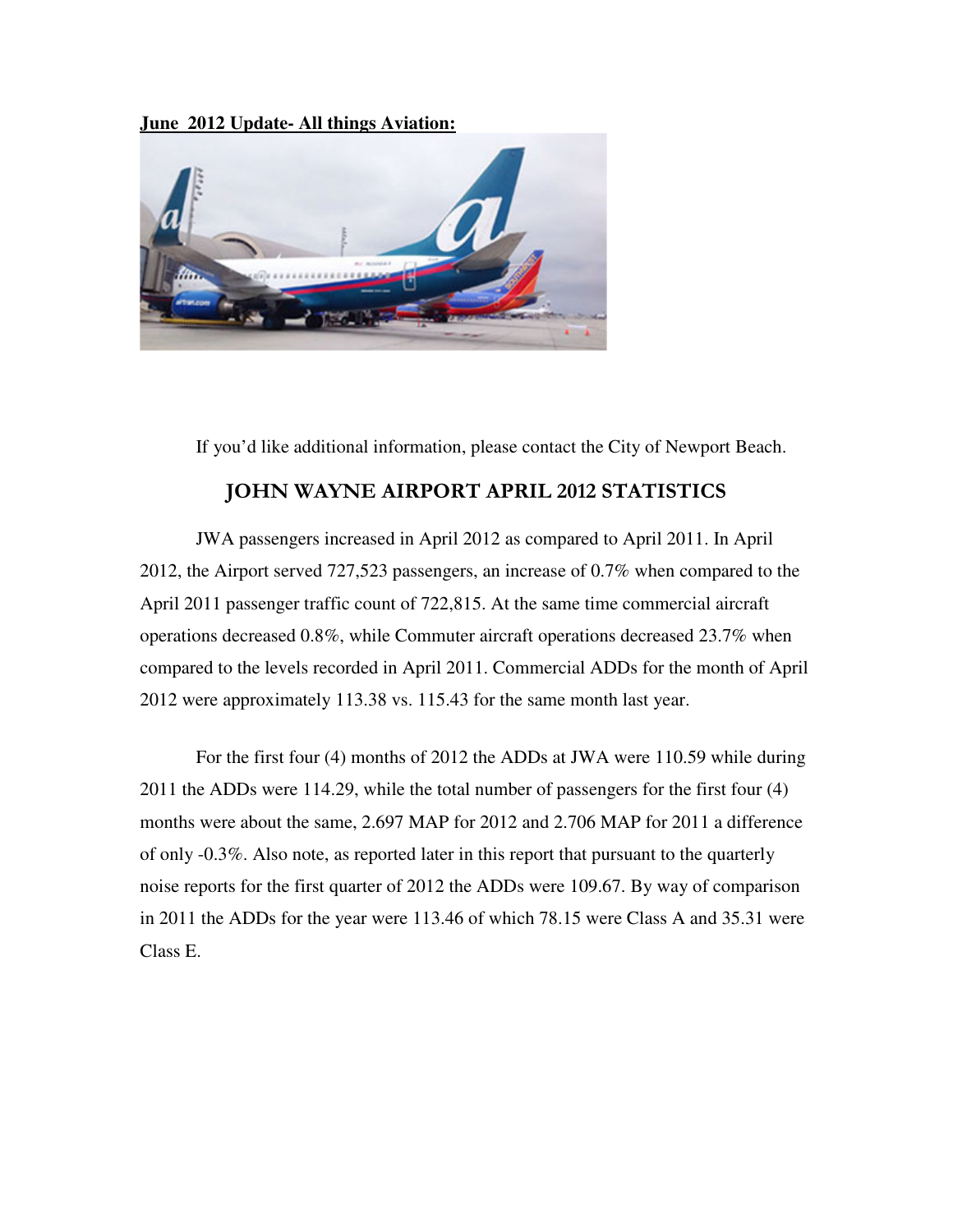**June 2012 Update- All things Aviation:**



If you'd like additional information, please contact the City of Newport Beach.

## JOHN WAYNE AIRPORT APRIL 2012 STATISTICS

JWA passengers increased in April 2012 as compared to April 2011. In April 2012, the Airport served 727,523 passengers, an increase of 0.7% when compared to the April 2011 passenger traffic count of 722,815. At the same time commercial aircraft operations decreased 0.8%, while Commuter aircraft operations decreased 23.7% when compared to the levels recorded in April 2011. Commercial ADDs for the month of April 2012 were approximately 113.38 vs. 115.43 for the same month last year.

 For the first four (4) months of 2012 the ADDs at JWA were 110.59 while during 2011 the ADDs were 114.29, while the total number of passengers for the first four (4) months were about the same, 2.697 MAP for 2012 and 2.706 MAP for 2011 a difference of only -0.3%. Also note, as reported later in this report that pursuant to the quarterly noise reports for the first quarter of 2012 the ADDs were 109.67. By way of comparison in 2011 the ADDs for the year were 113.46 of which 78.15 were Class A and 35.31 were Class E.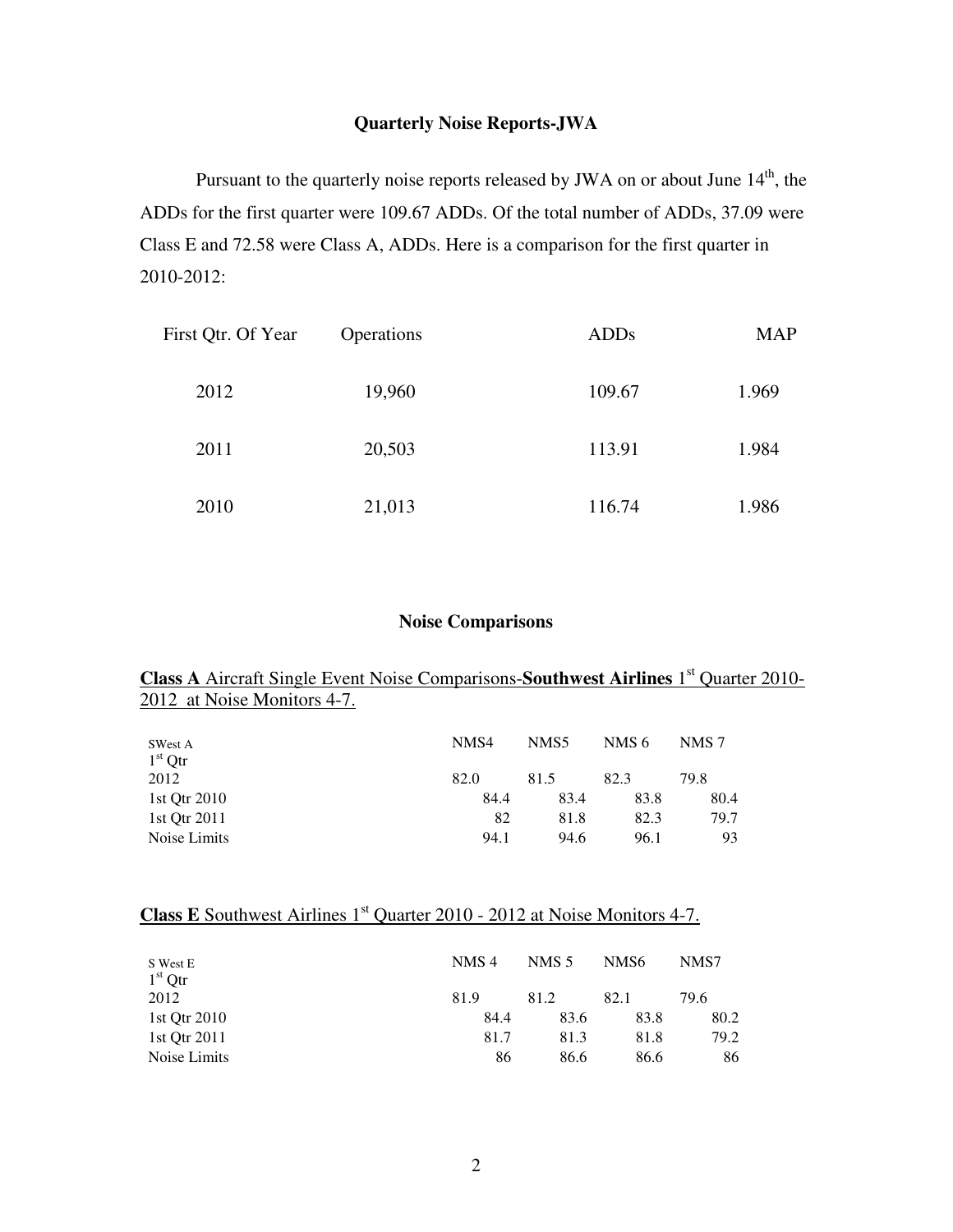# **Quarterly Noise Reports-JWA**

Pursuant to the quarterly noise reports released by JWA on or about June 14<sup>th</sup>, the ADDs for the first quarter were 109.67 ADDs. Of the total number of ADDs, 37.09 were Class E and 72.58 were Class A, ADDs. Here is a comparison for the first quarter in 2010-2012:

| First Qtr. Of Year | Operations | <b>ADDs</b> | <b>MAP</b> |
|--------------------|------------|-------------|------------|
| 2012               | 19,960     | 109.67      | 1.969      |
| 2011               | 20,503     | 113.91      | 1.984      |
| 2010               | 21,013     | 116.74      | 1.986      |

## **Noise Comparisons**

## **Class A** Aircraft Single Event Noise Comparisons-**Southwest Airlines** 1<sup>st</sup> Quarter 2010-2012 at Noise Monitors 4-7.

| SWest A      | NMS4 | NMS5 | NMS 6 | NMS 7 |
|--------------|------|------|-------|-------|
| $1st$ Qtr    |      |      |       |       |
| 2012         | 82.0 | 81.5 | 82.3  | 79.8  |
| 1st Otr 2010 | 84.4 | 83.4 | 83.8  | 80.4  |
| 1st Otr 2011 | 82   | 81.8 | 82.3  | 79.7  |
| Noise Limits | 94.1 | 94.6 | 96.1  | 93    |

# **Class E** Southwest Airlines 1<sup>st</sup> Quarter 2010 - 2012 at Noise Monitors 4-7.

| S West E<br>$1st$ Otr | NMS <sub>4</sub> | NMS 5 | NMS <sub>6</sub> | NMS7 |
|-----------------------|------------------|-------|------------------|------|
| 2012                  | 81.9             | 81.2  | 82.1             | 79.6 |
| 1st Otr 2010          | 84.4             | 83.6  | 83.8             | 80.2 |
| 1st Otr 2011          | 81.7             | 81.3  | 81.8             | 79.2 |
| Noise Limits          | 86               | 86.6  | 86.6             | 86   |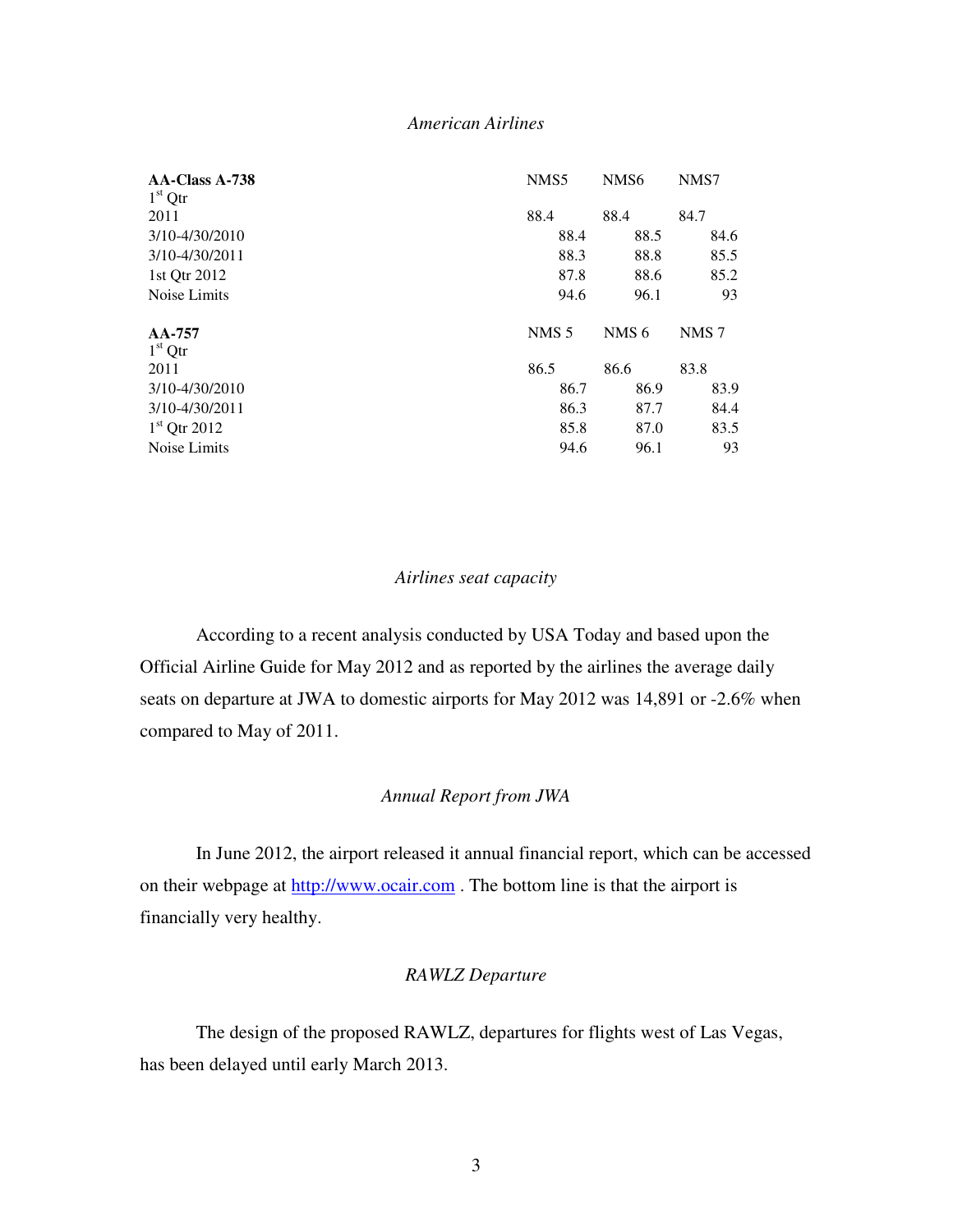## *American Airlines*

| NMS7             |
|------------------|
|                  |
| 84.7             |
| 84.6             |
| 85.5             |
| 85.2             |
| 93               |
|                  |
| NMS <sub>7</sub> |
|                  |
| 83.8             |
| 83.9             |
| 84.4             |
| 83.5             |
| 93               |
|                  |

#### *Airlines seat capacity*

 According to a recent analysis conducted by USA Today and based upon the Official Airline Guide for May 2012 and as reported by the airlines the average daily seats on departure at JWA to domestic airports for May 2012 was 14,891 or -2.6% when compared to May of 2011.

## *Annual Report from JWA*

 In June 2012, the airport released it annual financial report, which can be accessed on their webpage at http://www.ocair.com . The bottom line is that the airport is financially very healthy.

## *RAWLZ Departure*

 The design of the proposed RAWLZ, departures for flights west of Las Vegas, has been delayed until early March 2013.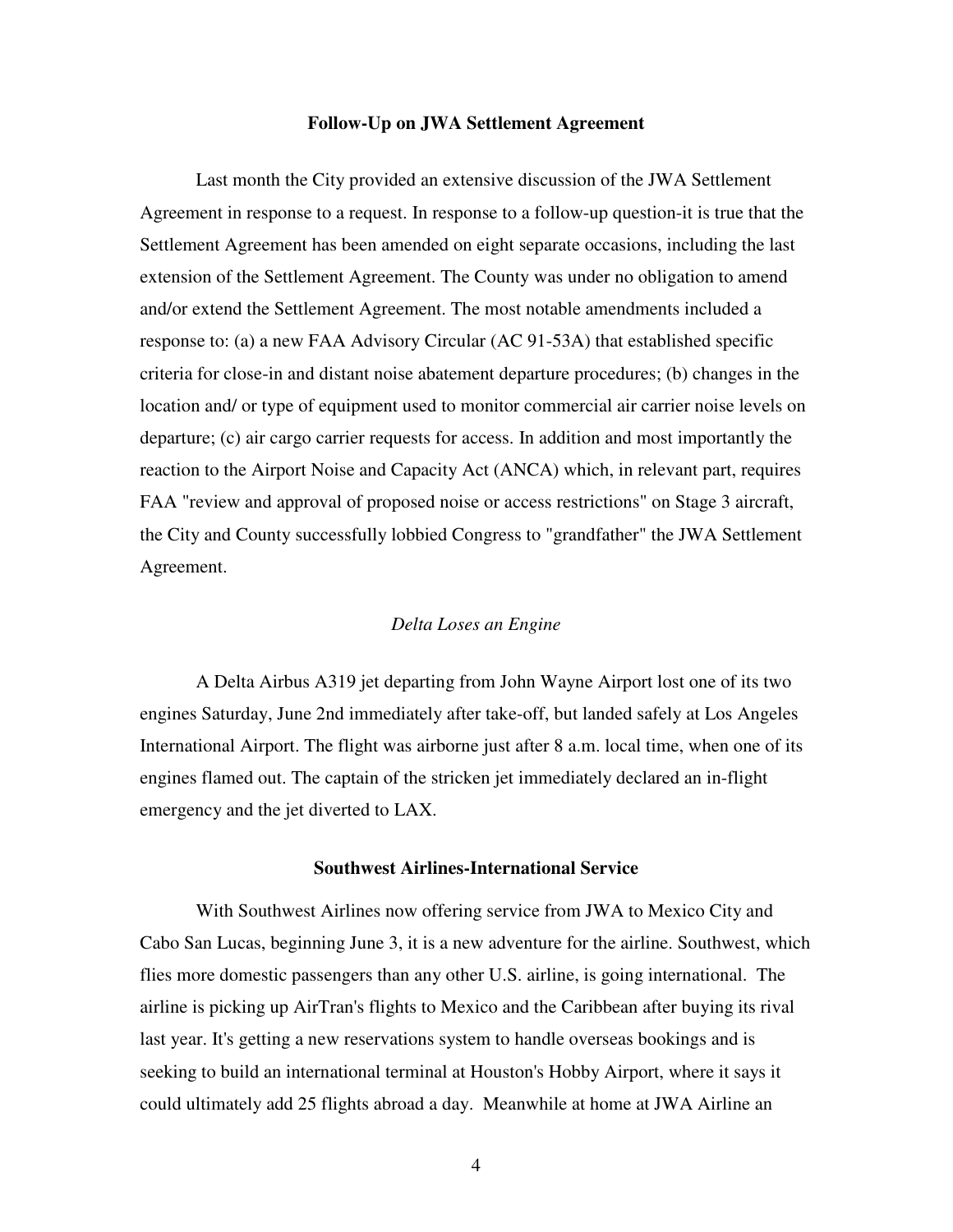#### **Follow-Up on JWA Settlement Agreement**

 Last month the City provided an extensive discussion of the JWA Settlement Agreement in response to a request. In response to a follow-up question-it is true that the Settlement Agreement has been amended on eight separate occasions, including the last extension of the Settlement Agreement. The County was under no obligation to amend and/or extend the Settlement Agreement. The most notable amendments included a response to: (a) a new FAA Advisory Circular (AC 91-53A) that established specific criteria for close-in and distant noise abatement departure procedures; (b) changes in the location and/ or type of equipment used to monitor commercial air carrier noise levels on departure; (c) air cargo carrier requests for access. In addition and most importantly the reaction to the Airport Noise and Capacity Act (ANCA) which, in relevant part, requires FAA "review and approval of proposed noise or access restrictions" on Stage 3 aircraft, the City and County successfully lobbied Congress to "grandfather" the JWA Settlement Agreement.

## *Delta Loses an Engine*

 A Delta Airbus A319 jet departing from John Wayne Airport lost one of its two engines Saturday, June 2nd immediately after take-off, but landed safely at Los Angeles International Airport. The flight was airborne just after 8 a.m. local time, when one of its engines flamed out. The captain of the stricken jet immediately declared an in-flight emergency and the jet diverted to LAX.

#### **Southwest Airlines-International Service**

With Southwest Airlines now offering service from JWA to Mexico City and Cabo San Lucas, beginning June 3, it is a new adventure for the airline. Southwest, which flies more domestic passengers than any other U.S. airline, is going international. The airline is picking up AirTran's flights to Mexico and the Caribbean after buying its rival last year. It's getting a new reservations system to handle overseas bookings and is seeking to build an international terminal at Houston's Hobby Airport, where it says it could ultimately add 25 flights abroad a day. Meanwhile at home at JWA Airline an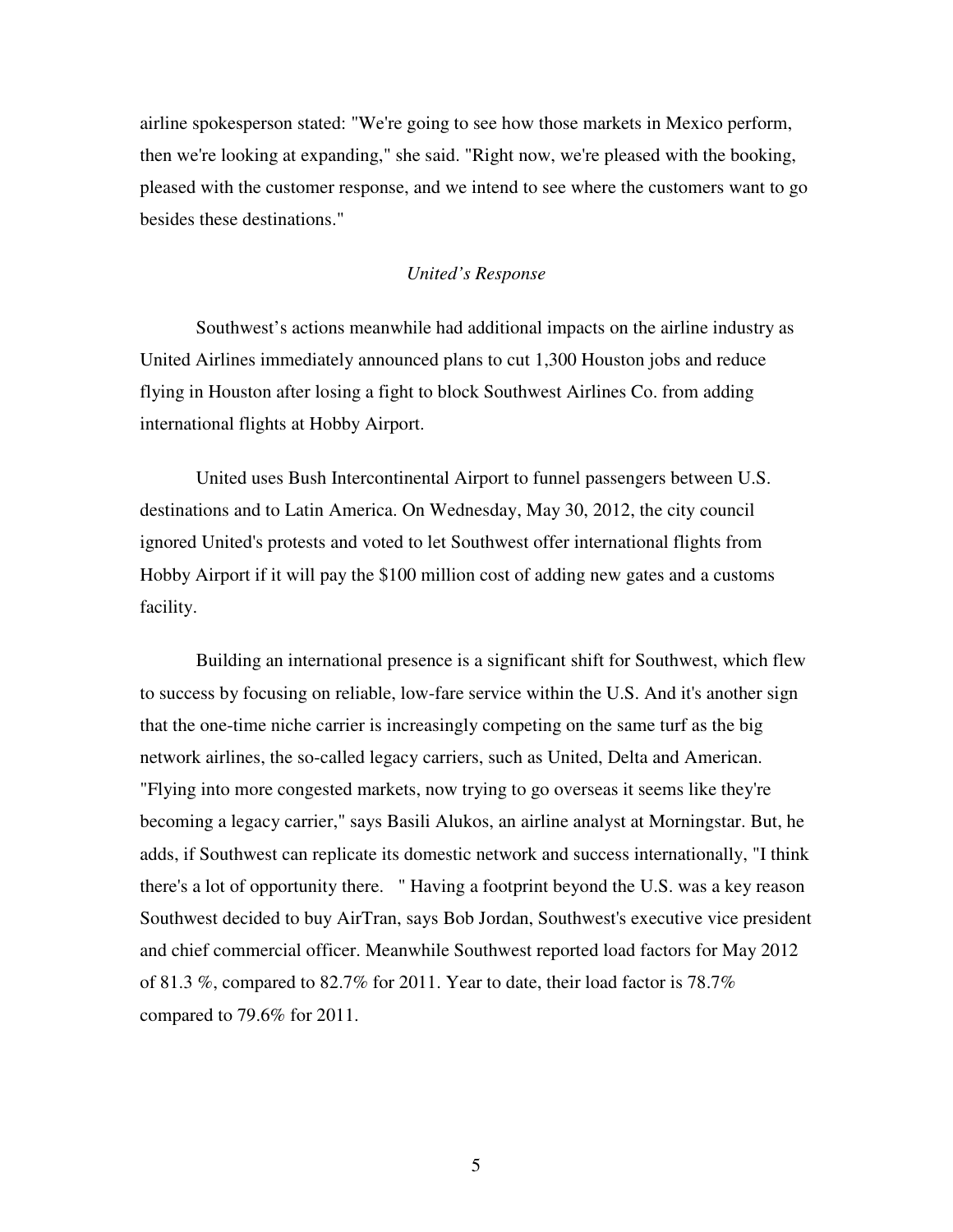airline spokesperson stated: "We're going to see how those markets in Mexico perform, then we're looking at expanding," she said. "Right now, we're pleased with the booking, pleased with the customer response, and we intend to see where the customers want to go besides these destinations."

## *United's Response*

 Southwest's actions meanwhile had additional impacts on the airline industry as United Airlines immediately announced plans to cut 1,300 Houston jobs and reduce flying in Houston after losing a fight to block Southwest Airlines Co. from adding international flights at Hobby Airport.

 United uses Bush Intercontinental Airport to funnel passengers between U.S. destinations and to Latin America. On Wednesday, May 30, 2012, the city council ignored United's protests and voted to let Southwest offer international flights from Hobby Airport if it will pay the \$100 million cost of adding new gates and a customs facility.

 Building an international presence is a significant shift for Southwest, which flew to success by focusing on reliable, low-fare service within the U.S. And it's another sign that the one-time niche carrier is increasingly competing on the same turf as the big network airlines, the so-called legacy carriers, such as United, Delta and American. "Flying into more congested markets, now trying to go overseas it seems like they're becoming a legacy carrier," says Basili Alukos, an airline analyst at Morningstar. But, he adds, if Southwest can replicate its domestic network and success internationally, "I think there's a lot of opportunity there. " Having a footprint beyond the U.S. was a key reason Southwest decided to buy AirTran, says Bob Jordan, Southwest's executive vice president and chief commercial officer. Meanwhile Southwest reported load factors for May 2012 of 81.3 %, compared to 82.7% for 2011. Year to date, their load factor is 78.7% compared to 79.6% for 2011.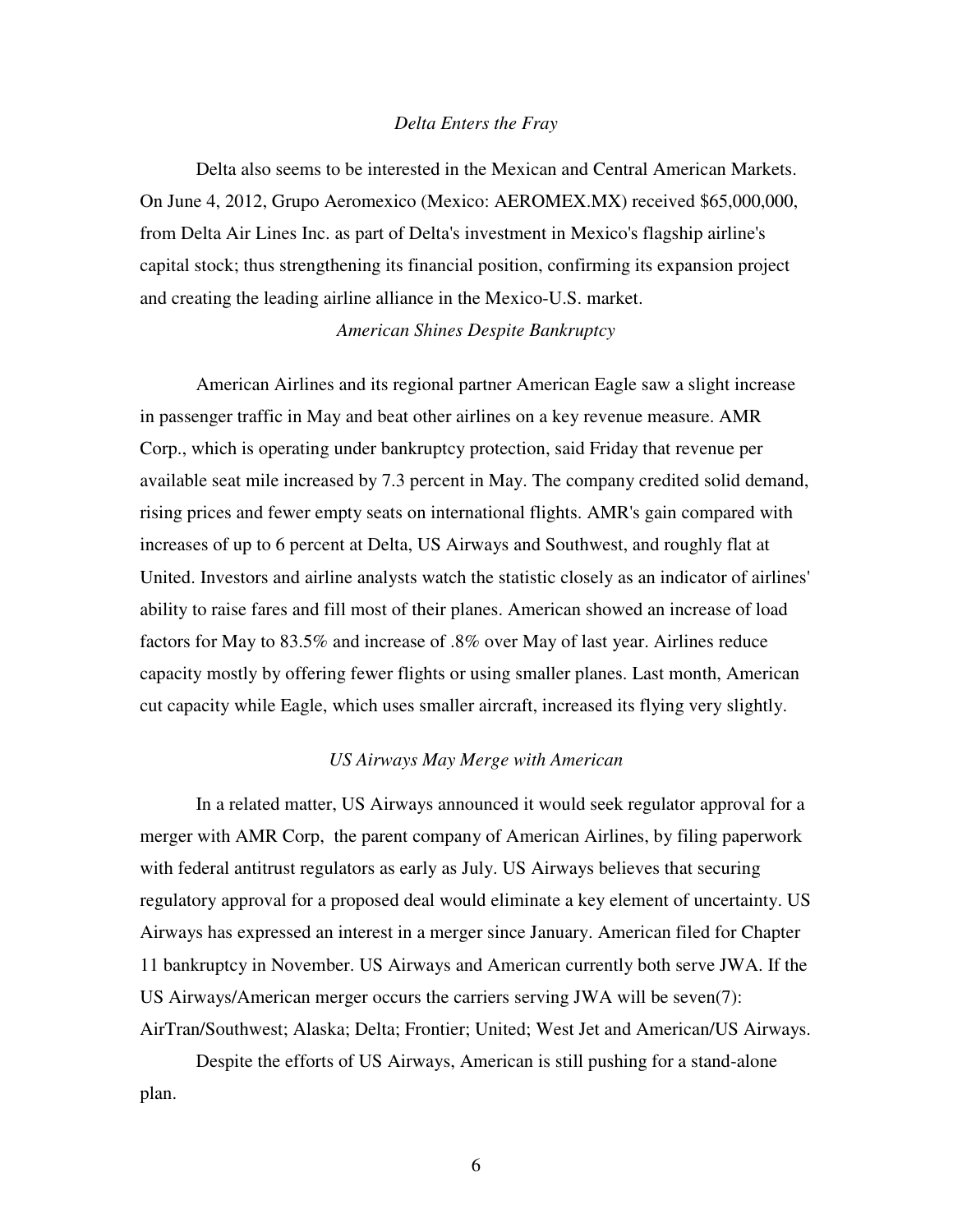#### *Delta Enters the Fray*

Delta also seems to be interested in the Mexican and Central American Markets. On June 4, 2012, Grupo Aeromexico (Mexico: AEROMEX.MX) received \$65,000,000, from Delta Air Lines Inc. as part of Delta's investment in Mexico's flagship airline's capital stock; thus strengthening its financial position, confirming its expansion project and creating the leading airline alliance in the Mexico-U.S. market.

#### *American Shines Despite Bankruptcy*

American Airlines and its regional partner American Eagle saw a slight increase in passenger traffic in May and beat other airlines on a key revenue measure. AMR Corp., which is operating under bankruptcy protection, said Friday that revenue per available seat mile increased by 7.3 percent in May. The company credited solid demand, rising prices and fewer empty seats on international flights. AMR's gain compared with increases of up to 6 percent at Delta, US Airways and Southwest, and roughly flat at United. Investors and airline analysts watch the statistic closely as an indicator of airlines' ability to raise fares and fill most of their planes. American showed an increase of load factors for May to 83.5% and increase of .8% over May of last year. Airlines reduce capacity mostly by offering fewer flights or using smaller planes. Last month, American cut capacity while Eagle, which uses smaller aircraft, increased its flying very slightly.

#### *US Airways May Merge with American*

 In a related matter, US Airways announced it would seek regulator approval for a merger with AMR Corp, the parent company of American Airlines, by filing paperwork with federal antitrust regulators as early as July. US Airways believes that securing regulatory approval for a proposed deal would eliminate a key element of uncertainty. US Airways has expressed an interest in a merger since January. American filed for Chapter 11 bankruptcy in November. US Airways and American currently both serve JWA. If the US Airways/American merger occurs the carriers serving JWA will be seven(7): AirTran/Southwest; Alaska; Delta; Frontier; United; West Jet and American/US Airways.

 Despite the efforts of US Airways, American is still pushing for a stand-alone plan.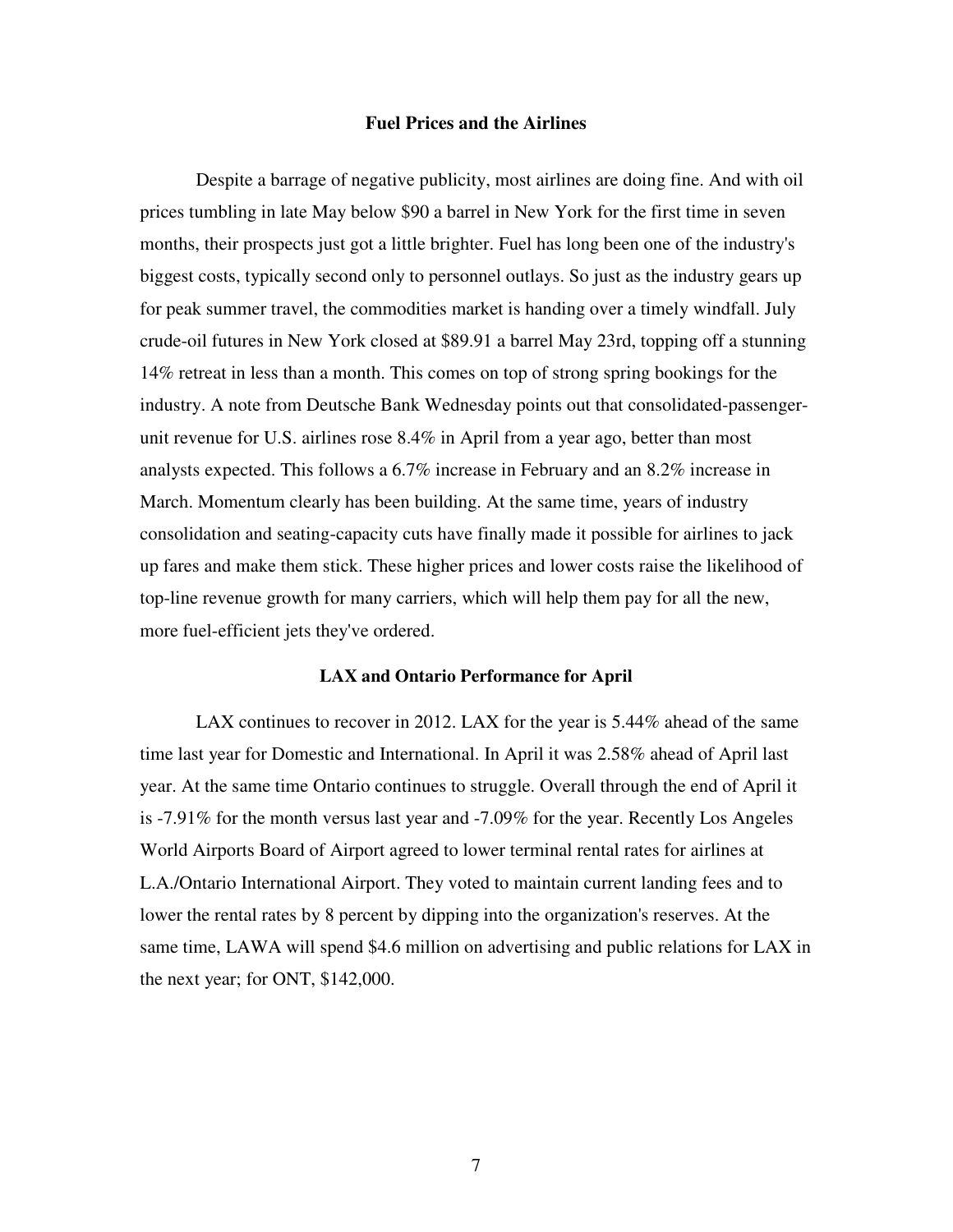#### **Fuel Prices and the Airlines**

Despite a barrage of negative publicity, most airlines are doing fine. And with oil prices tumbling in late May below \$90 a barrel in New York for the first time in seven months, their prospects just got a little brighter. Fuel has long been one of the industry's biggest costs, typically second only to personnel outlays. So just as the industry gears up for peak summer travel, the commodities market is handing over a timely windfall. July crude-oil futures in New York closed at \$89.91 a barrel May 23rd, topping off a stunning 14% retreat in less than a month. This comes on top of strong spring bookings for the industry. A note from Deutsche Bank Wednesday points out that consolidated-passengerunit revenue for U.S. airlines rose 8.4% in April from a year ago, better than most analysts expected. This follows a 6.7% increase in February and an 8.2% increase in March. Momentum clearly has been building. At the same time, years of industry consolidation and seating-capacity cuts have finally made it possible for airlines to jack up fares and make them stick. These higher prices and lower costs raise the likelihood of top-line revenue growth for many carriers, which will help them pay for all the new, more fuel-efficient jets they've ordered.

#### **LAX and Ontario Performance for April**

 LAX continues to recover in 2012. LAX for the year is 5.44% ahead of the same time last year for Domestic and International. In April it was 2.58% ahead of April last year. At the same time Ontario continues to struggle. Overall through the end of April it is -7.91% for the month versus last year and -7.09% for the year. Recently Los Angeles World Airports Board of Airport agreed to lower terminal rental rates for airlines at L.A./Ontario International Airport. They voted to maintain current landing fees and to lower the rental rates by 8 percent by dipping into the organization's reserves. At the same time, LAWA will spend \$4.6 million on advertising and public relations for LAX in the next year; for ONT, \$142,000.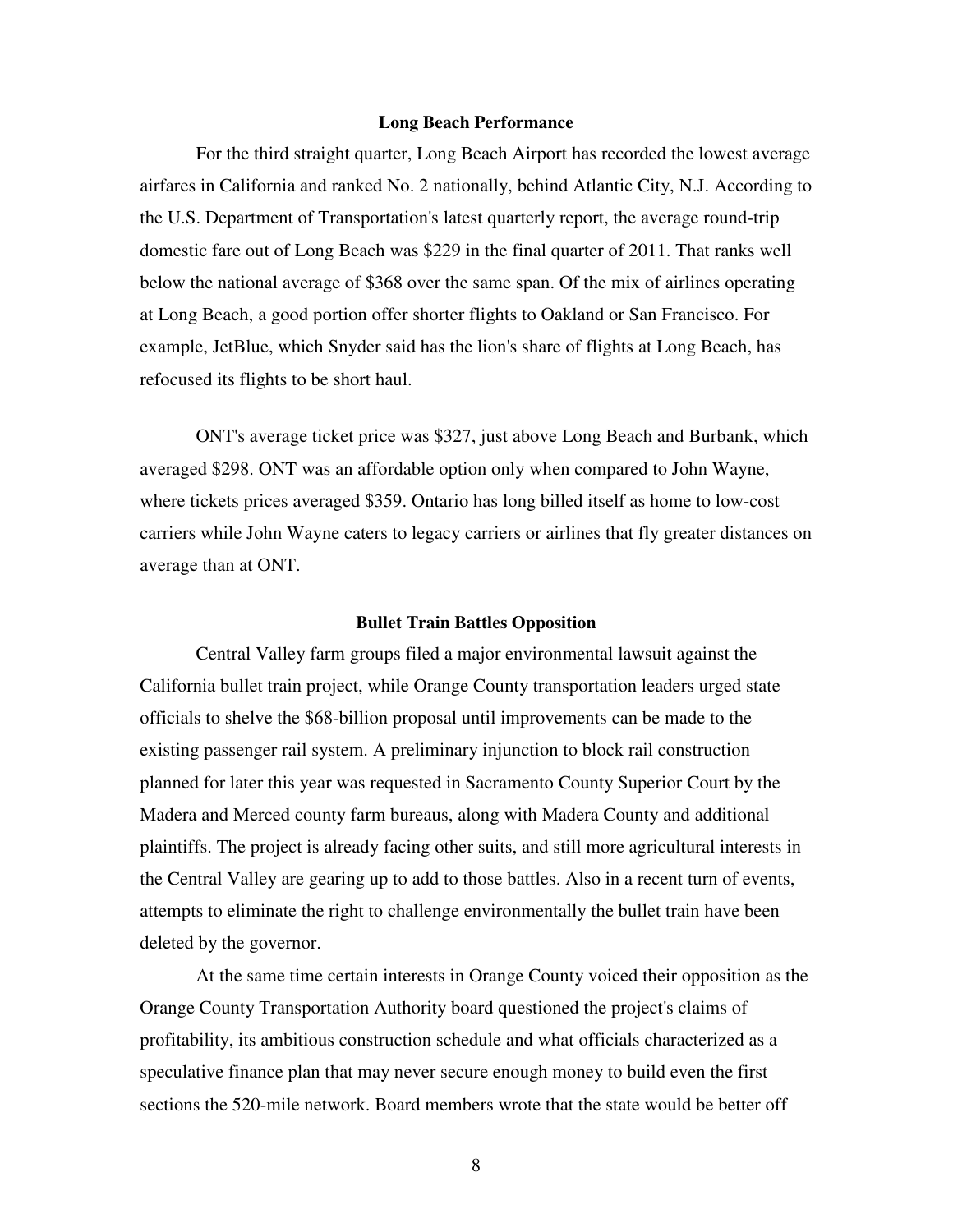#### **Long Beach Performance**

 For the third straight quarter, Long Beach Airport has recorded the lowest average airfares in California and ranked No. 2 nationally, behind Atlantic City, N.J. According to the U.S. Department of Transportation's latest quarterly report, the average round-trip domestic fare out of Long Beach was \$229 in the final quarter of 2011. That ranks well below the national average of \$368 over the same span. Of the mix of airlines operating at Long Beach, a good portion offer shorter flights to Oakland or San Francisco. For example, JetBlue, which Snyder said has the lion's share of flights at Long Beach, has refocused its flights to be short haul.

 ONT's average ticket price was \$327, just above Long Beach and Burbank, which averaged \$298. ONT was an affordable option only when compared to John Wayne, where tickets prices averaged \$359. Ontario has long billed itself as home to low-cost carriers while John Wayne caters to legacy carriers or airlines that fly greater distances on average than at ONT.

#### **Bullet Train Battles Opposition**

Central Valley farm groups filed a major environmental lawsuit against the California bullet train project, while Orange County transportation leaders urged state officials to shelve the \$68-billion proposal until improvements can be made to the existing passenger rail system. A preliminary injunction to block rail construction planned for later this year was requested in Sacramento County Superior Court by the Madera and Merced county farm bureaus, along with Madera County and additional plaintiffs. The project is already facing other suits, and still more agricultural interests in the Central Valley are gearing up to add to those battles. Also in a recent turn of events, attempts to eliminate the right to challenge environmentally the bullet train have been deleted by the governor.

 At the same time certain interests in Orange County voiced their opposition as the Orange County Transportation Authority board questioned the project's claims of profitability, its ambitious construction schedule and what officials characterized as a speculative finance plan that may never secure enough money to build even the first sections the 520-mile network. Board members wrote that the state would be better off